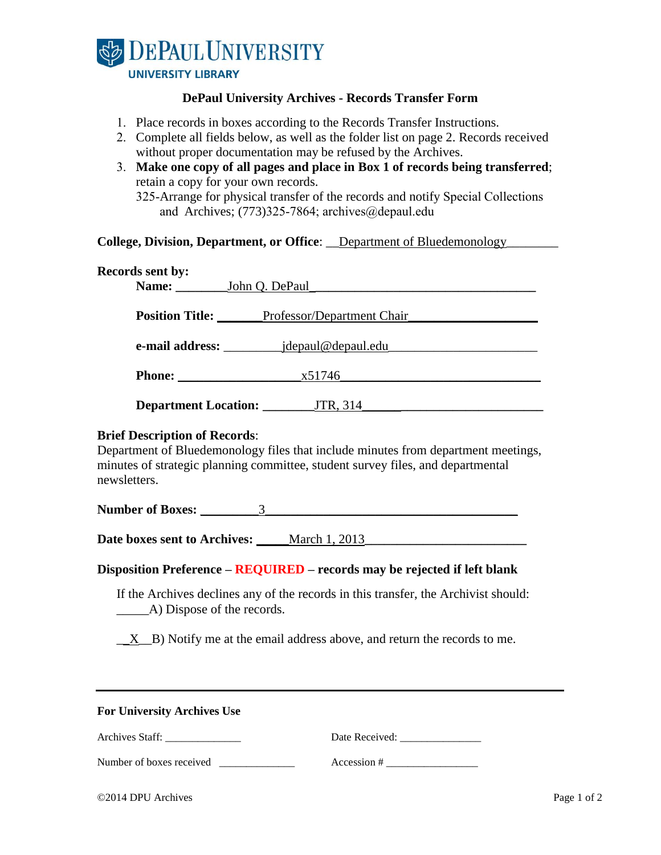

## **DePaul University Archives - Records Transfer Form**

- 1. Place records in boxes according to the Records Transfer Instructions.
- 2. Complete all fields below, as well as the folder list on page 2. Records received without proper documentation may be refused by the Archives.
- 3. **Make one copy of all pages and place in Box 1 of records being transferred**; retain a copy for your own records. 325-Arrange for physical transfer of the records and notify Special Collections and Archives;  $(773)325-7864$ ; archives $@depaul.edu$

|  | College, Division, Department, or Office: __Department of Bluedemonology_ |  |
|--|---------------------------------------------------------------------------|--|
|--|---------------------------------------------------------------------------|--|

| <b>Records sent by:</b>     |                                                   |
|-----------------------------|---------------------------------------------------|
| Name:                       | John Q. DePaul                                    |
|                             | <b>Position Title:</b> Professor/Department Chair |
| e-mail address: ______      | _jdepaul@depaul.edu                               |
|                             | x51746                                            |
| <b>Department Location:</b> | JTR, 314                                          |

### **Brief Description of Records**:

Department of Bluedemonology files that include minutes from department meetings, minutes of strategic planning committee, student survey files, and departmental newsletters.

**Number of Boxes:** \_\_\_\_\_\_\_\_\_3\_\_\_\_\_\_\_\_\_\_\_\_\_\_\_\_\_\_\_\_\_\_\_\_\_\_\_\_\_\_\_\_\_\_\_\_\_\_\_

**Date boxes sent to Archives:** \_\_\_\_\_March 1, 2013**\_\_\_\_\_\_\_\_\_\_\_\_\_\_\_\_\_\_\_\_\_\_\_\_\_** 

#### **Disposition Preference – REQUIRED – records may be rejected if left blank**

If the Archives declines any of the records in this transfer, the Archivist should: \_\_\_\_\_A) Dispose of the records.

\_\_X\_\_B) Notify me at the email address above, and return the records to me.

#### **For University Archives Use**

| <b>Archives Staff:</b> | Date Received: |
|------------------------|----------------|
|                        |                |
|                        |                |

Number of boxes received \_\_\_\_\_\_\_\_\_\_\_\_\_\_\_ Accession # \_\_\_\_\_\_\_\_\_\_\_\_\_\_\_\_\_\_\_\_\_\_\_\_\_\_\_

| ©2014 DPU Archives | Page 1 of 2 |
|--------------------|-------------|
|                    |             |